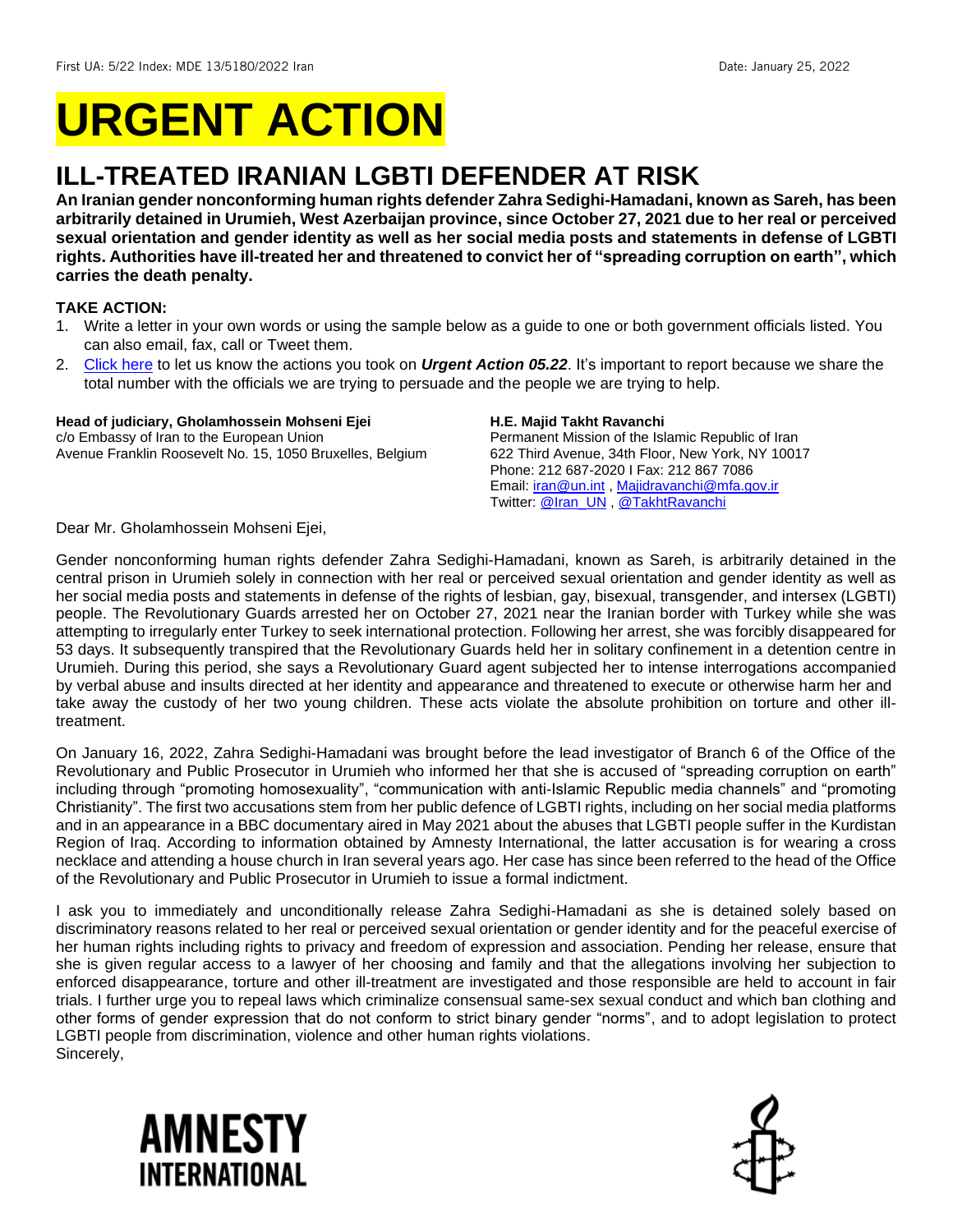# **URGENT ACTION**

## **ILL-TREATED IRANIAN LGBTI DEFENDER AT RISK**

**An Iranian gender nonconforming human rights defender Zahra Sedighi-Hamadani, known as Sareh, has been arbitrarily detained in Urumieh, West Azerbaijan province, since October 27, 2021 due to her real or perceived sexual orientation and gender identity as well as her social media posts and statements in defense of LGBTI rights. Authorities have ill-treated her and threatened to convict her of "spreading corruption on earth", which carries the death penalty.**

#### **TAKE ACTION:**

- 1. Write a letter in your own words or using the sample below as a guide to one or both government officials listed. You can also email, fax, call or Tweet them.
- 2. [Click here](https://www.amnestyusa.org/report-urgent-actions/) to let us know the actions you took on *Urgent Action 05.22*. It's important to report because we share the total number with the officials we are trying to persuade and the people we are trying to help.

#### **Head of judiciary, Gholamhossein Mohseni Ejei**

c/o Embassy of Iran to the European Union Avenue Franklin Roosevelt No. 15, 1050 Bruxelles, Belgium

#### **H.E. Majid Takht Ravanchi**

Permanent Mission of the Islamic Republic of Iran 622 Third Avenue, 34th Floor, New York, NY 10017 Phone: 212 687-2020 I Fax: 212 867 7086 Email: *iran@un.int*, [Majidravanchi@mfa.gov.ir](mailto:Majidravanchi@mfa.gov.ir) Twitter: [@Iran\\_UN](https://twitter.com/iran_un) , [@TakhtRavanchi](https://twitter.com/TakhtRavanchi)

Dear Mr. Gholamhossein Mohseni Ejei,

Gender nonconforming human rights defender Zahra Sedighi-Hamadani, known as Sareh, is arbitrarily detained in the central prison in Urumieh solely in connection with her real or perceived sexual orientation and gender identity as well as her social media posts and statements in defense of the rights of lesbian, gay, bisexual, transgender, and intersex (LGBTI) people. The Revolutionary Guards arrested her on October 27, 2021 near the Iranian border with Turkey while she was attempting to irregularly enter Turkey to seek international protection. Following her arrest, she was forcibly disappeared for 53 days. It subsequently transpired that the Revolutionary Guards held her in solitary confinement in a detention centre in Urumieh. During this period, she says a Revolutionary Guard agent subjected her to intense interrogations accompanied by verbal abuse and insults directed at her identity and appearance and threatened to execute or otherwise harm her and take away the custody of her two young children. These acts violate the absolute prohibition on torture and other illtreatment.

On January 16, 2022, Zahra Sedighi-Hamadani was brought before the lead investigator of Branch 6 of the Office of the Revolutionary and Public Prosecutor in Urumieh who informed her that she is accused of "spreading corruption on earth" including through "promoting homosexuality", "communication with anti-Islamic Republic media channels" and "promoting Christianity". The first two accusations stem from her public defence of LGBTI rights, including on her social media platforms and in an appearance in a BBC documentary aired in May 2021 about the abuses that LGBTI people suffer in the Kurdistan Region of Iraq. According to information obtained by Amnesty International, the latter accusation is for wearing a cross necklace and attending a house church in Iran several years ago. Her case has since been referred to the head of the Office of the Revolutionary and Public Prosecutor in Urumieh to issue a formal indictment.

I ask you to immediately and unconditionally release Zahra Sedighi-Hamadani as she is detained solely based on discriminatory reasons related to her real or perceived sexual orientation or gender identity and for the peaceful exercise of her human rights including rights to privacy and freedom of expression and association. Pending her release, ensure that she is given regular access to a lawyer of her choosing and family and that the allegations involving her subjection to enforced disappearance, torture and other ill-treatment are investigated and those responsible are held to account in fair trials. I further urge you to repeal laws which criminalize consensual same-sex sexual conduct and which ban clothing and other forms of gender expression that do not conform to strict binary gender "norms", and to adopt legislation to protect LGBTI people from discrimination, violence and other human rights violations. Sincerely,